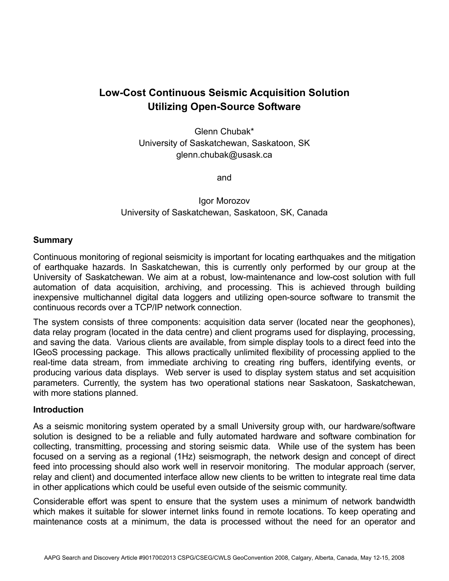# **Low-Cost Continuous Seismic Acquisition Solution Utilizing Open-Source Software**

Glenn Chubak\* University of Saskatchewan, Saskatoon, SK glenn.chubak@usask.ca

and

Igor Morozov University of Saskatchewan, Saskatoon, SK, Canada

#### **Summary**

Continuous monitoring of regional seismicity is important for locating earthquakes and the mitigation of earthquake hazards. In Saskatchewan, this is currently only performed by our group at the University of Saskatchewan. We aim at a robust, low-maintenance and low-cost solution with full automation of data acquisition, archiving, and processing. This is achieved through building inexpensive multichannel digital data loggers and utilizing open-source software to transmit the continuous records over a TCP/IP network connection.

The system consists of three components: acquisition data server (located near the geophones), data relay program (located in the data centre) and client programs used for displaying, processing, and saving the data. Various clients are available, from simple display tools to a direct feed into the IGeoS processing package. This allows practically unlimited flexibility of processing applied to the real-time data stream, from immediate archiving to creating ring buffers, identifying events, or producing various data displays. Web server is used to display system status and set acquisition parameters. Currently, the system has two operational stations near Saskatoon, Saskatchewan, with more stations planned.

#### **Introduction**

As a seismic monitoring system operated by a small University group with, our hardware/software solution is designed to be a reliable and fully automated hardware and software combination for collecting, transmitting, processing and storing seismic data. While use of the system has been focused on a serving as a regional (1Hz) seismograph, the network design and concept of direct feed into processing should also work well in reservoir monitoring. The modular approach (server, relay and client) and documented interface allow new clients to be written to integrate real time data in other applications which could be useful even outside of the seismic community.

Considerable effort was spent to ensure that the system uses a minimum of network bandwidth which makes it suitable for slower internet links found in remote locations. To keep operating and maintenance costs at a minimum, the data is processed without the need for an operator and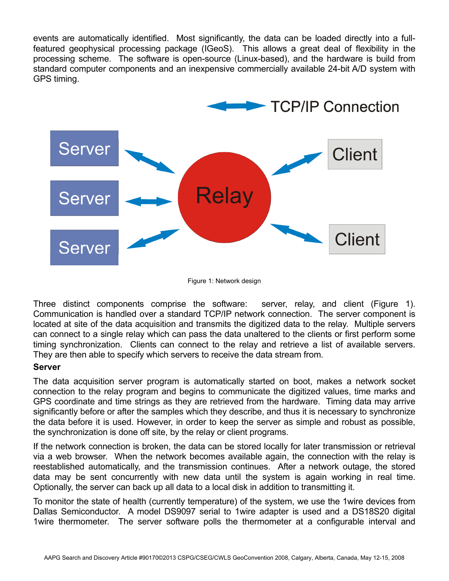events are automatically identified. Most significantly, the data can be loaded directly into a fullfeatured geophysical processing package (IGeoS). This allows a great deal of flexibility in the processing scheme. The software is open-source (Linux-based), and the hardware is build from standard computer components and an inexpensive commercially available 24-bit A/D system with GPS timing.



Figure 1: Network design

Three distinct components comprise the software: server, relay, and client (Figure 1). Communication is handled over a standard TCP/IP network connection. The server component is located at site of the data acquisition and transmits the digitized data to the relay. Multiple servers can connect to a single relay which can pass the data unaltered to the clients or first perform some timing synchronization. Clients can connect to the relay and retrieve a list of available servers. They are then able to specify which servers to receive the data stream from.

### **Server**

The data acquisition server program is automatically started on boot, makes a network socket connection to the relay program and begins to communicate the digitized values, time marks and GPS coordinate and time strings as they are retrieved from the hardware. Timing data may arrive significantly before or after the samples which they describe, and thus it is necessary to synchronize the data before it is used. However, in order to keep the server as simple and robust as possible, the synchronization is done off site, by the relay or client programs.

If the network connection is broken, the data can be stored locally for later transmission or retrieval via a web browser. When the network becomes available again, the connection with the relay is reestablished automatically, and the transmission continues. After a network outage, the stored data may be sent concurrently with new data until the system is again working in real time. Optionally, the server can back up all data to a local disk in addition to transmitting it.

To monitor the state of health (currently temperature) of the system, we use the 1wire devices from Dallas Semiconductor. A model DS9097 serial to 1wire adapter is used and a DS18S20 digital 1wire thermometer. The server software polls the thermometer at a configurable interval and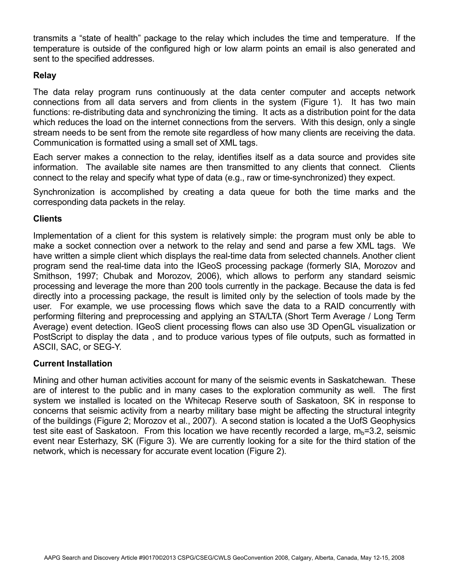transmits a "state of health" package to the relay which includes the time and temperature. If the temperature is outside of the configured high or low alarm points an email is also generated and sent to the specified addresses.

## **Relay**

The data relay program runs continuously at the data center computer and accepts network connections from all data servers and from clients in the system (Figure 1). It has two main functions: re-distributing data and synchronizing the timing. It acts as a distribution point for the data which reduces the load on the internet connections from the servers. With this design, only a single stream needs to be sent from the remote site regardless of how many clients are receiving the data. Communication is formatted using a small set of XML tags.

Each server makes a connection to the relay, identifies itself as a data source and provides site information. The available site names are then transmitted to any clients that connect. Clients connect to the relay and specify what type of data (e.g., raw or time-synchronized) they expect.

Synchronization is accomplished by creating a data queue for both the time marks and the corresponding data packets in the relay.

### **Clients**

Implementation of a client for this system is relatively simple: the program must only be able to make a socket connection over a network to the relay and send and parse a few XML tags. We have written a simple client which displays the real-time data from selected channels. Another client program send the real-time data into the IGeoS processing package (formerly SIA, Morozov and Smithson, 1997; Chubak and Morozov, 2006), which allows to perform any standard seismic processing and leverage the more than 200 tools currently in the package. Because the data is fed directly into a processing package, the result is limited only by the selection of tools made by the user. For example, we use processing flows which save the data to a RAID concurrently with performing filtering and preprocessing and applying an STA/LTA (Short Term Average / Long Term Average) event detection. IGeoS client processing flows can also use 3D OpenGL visualization or PostScript to display the data , and to produce various types of file outputs, such as formatted in ASCII, SAC, or SEG-Y.

### **Current Installation**

Mining and other human activities account for many of the seismic events in Saskatchewan. These are of interest to the public and in many cases to the exploration community as well. The first system we installed is located on the Whitecap Reserve south of Saskatoon, SK in response to concerns that seismic activity from a nearby military base might be affecting the structural integrity of the buildings (Figure 2; Morozov et al., 2007). A second station is located a the UofS Geophysics test site east of Saskatoon. From this location we have recently recorded a large,  $m_b=3.2$ , seismic event near Esterhazy, SK (Figure 3). We are currently looking for a site for the third station of the network, which is necessary for accurate event location (Figure 2).